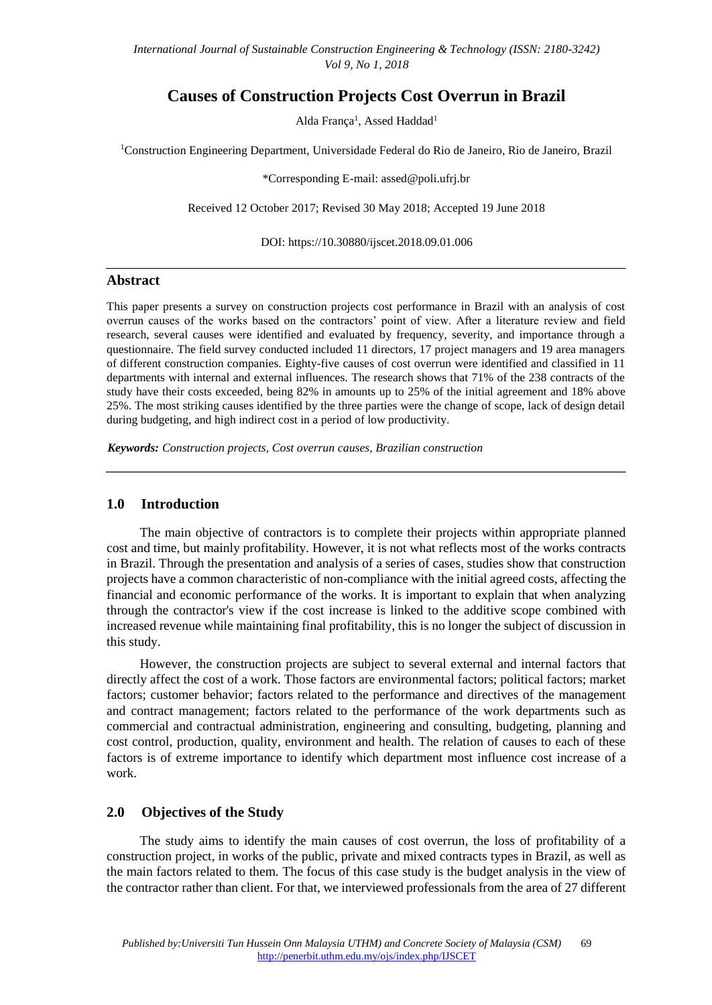# **Causes of Construction Projects Cost Overrun in Brazil**

Alda França<sup>1</sup>, Assed Haddad<sup>1</sup>

<sup>1</sup>Construction Engineering Department, Universidade Federal do Rio de Janeiro, Rio de Janeiro, Brazil

\*Corresponding E-mail: assed@poli.ufrj.br

Received 12 October 2017; Revised 30 May 2018; Accepted 19 June 2018

DOI: https://10.30880/ijscet.2018.09.01.006

#### **Abstract**

This paper presents a survey on construction projects cost performance in Brazil with an analysis of cost overrun causes of the works based on the contractors' point of view. After a literature review and field research, several causes were identified and evaluated by frequency, severity, and importance through a questionnaire. The field survey conducted included 11 directors, 17 project managers and 19 area managers of different construction companies. Eighty-five causes of cost overrun were identified and classified in 11 departments with internal and external influences. The research shows that 71% of the 238 contracts of the study have their costs exceeded, being 82% in amounts up to 25% of the initial agreement and 18% above 25%. The most striking causes identified by the three parties were the change of scope, lack of design detail during budgeting, and high indirect cost in a period of low productivity.

*Keywords: Construction projects, Cost overrun causes, Brazilian construction* 

## **1.0 Introduction**

The main objective of contractors is to complete their projects within appropriate planned cost and time, but mainly profitability. However, it is not what reflects most of the works contracts in Brazil. Through the presentation and analysis of a series of cases, studies show that construction projects have a common characteristic of non-compliance with the initial agreed costs, affecting the financial and economic performance of the works. It is important to explain that when analyzing through the contractor's view if the cost increase is linked to the additive scope combined with increased revenue while maintaining final profitability, this is no longer the subject of discussion in this study.

However, the construction projects are subject to several external and internal factors that directly affect the cost of a work. Those factors are environmental factors; political factors; market factors; customer behavior; factors related to the performance and directives of the management and contract management; factors related to the performance of the work departments such as commercial and contractual administration, engineering and consulting, budgeting, planning and cost control, production, quality, environment and health. The relation of causes to each of these factors is of extreme importance to identify which department most influence cost increase of a work.

#### **2.0 Objectives of the Study**

The study aims to identify the main causes of cost overrun, the loss of profitability of a construction project, in works of the public, private and mixed contracts types in Brazil, as well as the main factors related to them. The focus of this case study is the budget analysis in the view of the contractor rather than client. For that, we interviewed professionals from the area of 27 different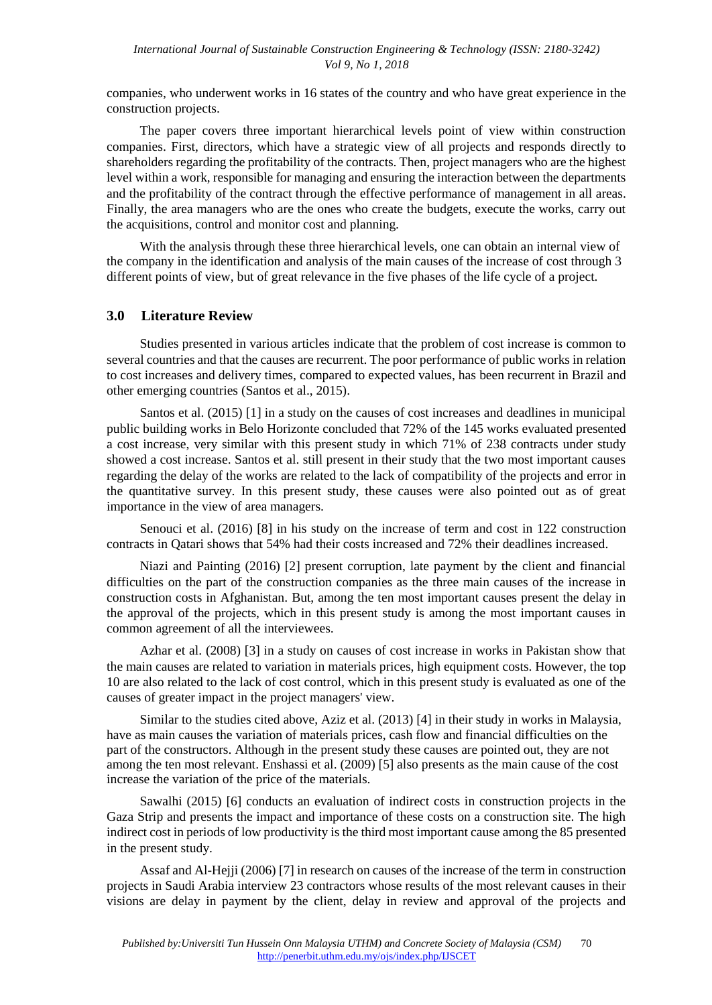companies, who underwent works in 16 states of the country and who have great experience in the construction projects.

The paper covers three important hierarchical levels point of view within construction companies. First, directors, which have a strategic view of all projects and responds directly to shareholders regarding the profitability of the contracts. Then, project managers who are the highest level within a work, responsible for managing and ensuring the interaction between the departments and the profitability of the contract through the effective performance of management in all areas. Finally, the area managers who are the ones who create the budgets, execute the works, carry out the acquisitions, control and monitor cost and planning.

With the analysis through these three hierarchical levels, one can obtain an internal view of the company in the identification and analysis of the main causes of the increase of cost through 3 different points of view, but of great relevance in the five phases of the life cycle of a project.

### **3.0 Literature Review**

Studies presented in various articles indicate that the problem of cost increase is common to several countries and that the causes are recurrent. The poor performance of public works in relation to cost increases and delivery times, compared to expected values, has been recurrent in Brazil and other emerging countries (Santos et al., 2015).

Santos et al. (2015) [1] in a study on the causes of cost increases and deadlines in municipal public building works in Belo Horizonte concluded that 72% of the 145 works evaluated presented a cost increase, very similar with this present study in which 71% of 238 contracts under study showed a cost increase. Santos et al. still present in their study that the two most important causes regarding the delay of the works are related to the lack of compatibility of the projects and error in the quantitative survey. In this present study, these causes were also pointed out as of great importance in the view of area managers.

Senouci et al. (2016) [8] in his study on the increase of term and cost in 122 construction contracts in Qatari shows that 54% had their costs increased and 72% their deadlines increased.

Niazi and Painting (2016) [2] present corruption, late payment by the client and financial difficulties on the part of the construction companies as the three main causes of the increase in construction costs in Afghanistan. But, among the ten most important causes present the delay in the approval of the projects, which in this present study is among the most important causes in common agreement of all the interviewees.

Azhar et al. (2008) [3] in a study on causes of cost increase in works in Pakistan show that the main causes are related to variation in materials prices, high equipment costs. However, the top 10 are also related to the lack of cost control, which in this present study is evaluated as one of the causes of greater impact in the project managers' view.

Similar to the studies cited above, Aziz et al. (2013) [4] in their study in works in Malaysia, have as main causes the variation of materials prices, cash flow and financial difficulties on the part of the constructors. Although in the present study these causes are pointed out, they are not among the ten most relevant. Enshassi et al. (2009) [5] also presents as the main cause of the cost increase the variation of the price of the materials.

Sawalhi (2015) [6] conducts an evaluation of indirect costs in construction projects in the Gaza Strip and presents the impact and importance of these costs on a construction site. The high indirect cost in periods of low productivity is the third most important cause among the 85 presented in the present study.

Assaf and Al-Hejji (2006) [7] in research on causes of the increase of the term in construction projects in Saudi Arabia interview 23 contractors whose results of the most relevant causes in their visions are delay in payment by the client, delay in review and approval of the projects and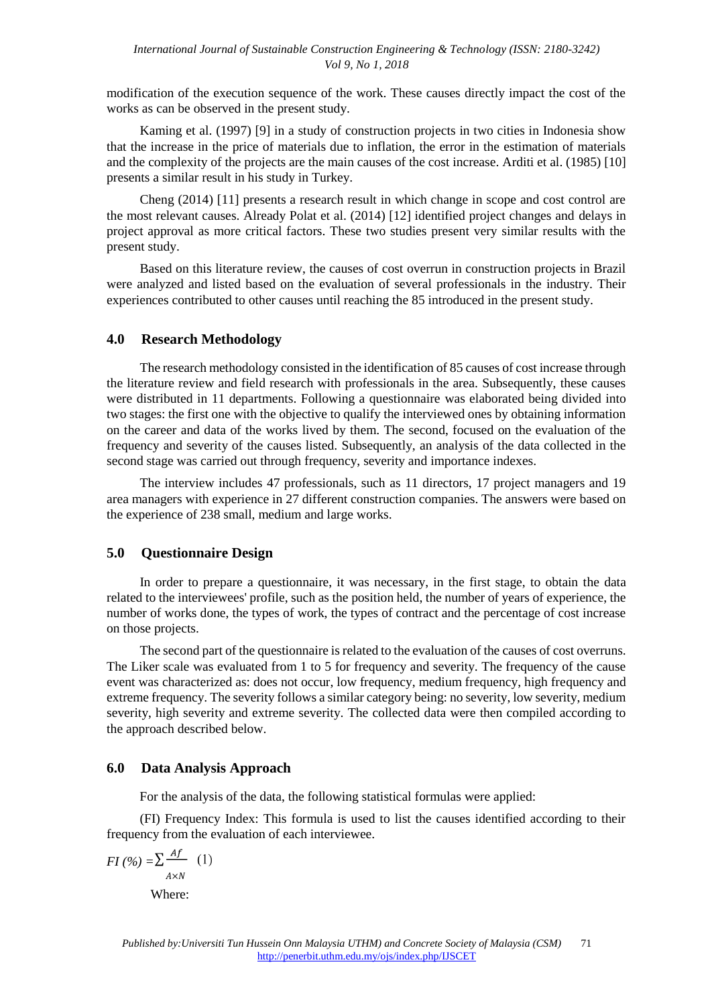modification of the execution sequence of the work. These causes directly impact the cost of the works as can be observed in the present study.

Kaming et al. (1997) [9] in a study of construction projects in two cities in Indonesia show that the increase in the price of materials due to inflation, the error in the estimation of materials and the complexity of the projects are the main causes of the cost increase. Arditi et al. (1985) [10] presents a similar result in his study in Turkey.

Cheng (2014) [11] presents a research result in which change in scope and cost control are the most relevant causes. Already Polat et al. (2014) [12] identified project changes and delays in project approval as more critical factors. These two studies present very similar results with the present study.

Based on this literature review, the causes of cost overrun in construction projects in Brazil were analyzed and listed based on the evaluation of several professionals in the industry. Their experiences contributed to other causes until reaching the 85 introduced in the present study.

### **4.0 Research Methodology**

The research methodology consisted in the identification of 85 causes of cost increase through the literature review and field research with professionals in the area. Subsequently, these causes were distributed in 11 departments. Following a questionnaire was elaborated being divided into two stages: the first one with the objective to qualify the interviewed ones by obtaining information on the career and data of the works lived by them. The second, focused on the evaluation of the frequency and severity of the causes listed. Subsequently, an analysis of the data collected in the second stage was carried out through frequency, severity and importance indexes.

The interview includes 47 professionals, such as 11 directors, 17 project managers and 19 area managers with experience in 27 different construction companies. The answers were based on the experience of 238 small, medium and large works.

# **5.0 Questionnaire Design**

In order to prepare a questionnaire, it was necessary, in the first stage, to obtain the data related to the interviewees' profile, such as the position held, the number of years of experience, the number of works done, the types of work, the types of contract and the percentage of cost increase on those projects.

The second part of the questionnaire is related to the evaluation of the causes of cost overruns. The Liker scale was evaluated from 1 to 5 for frequency and severity. The frequency of the cause event was characterized as: does not occur, low frequency, medium frequency, high frequency and extreme frequency. The severity follows a similar category being: no severity, low severity, medium severity, high severity and extreme severity. The collected data were then compiled according to the approach described below.

# **6.0 Data Analysis Approach**

For the analysis of the data, the following statistical formulas were applied:

(FI) Frequency Index: This formula is used to list the causes identified according to their frequency from the evaluation of each interviewee.

$$
FI\left(\frac{\%}{\%}\right) = \sum_{A \times N} \frac{Af}{A \times N} \quad (1)
$$
\nWhere: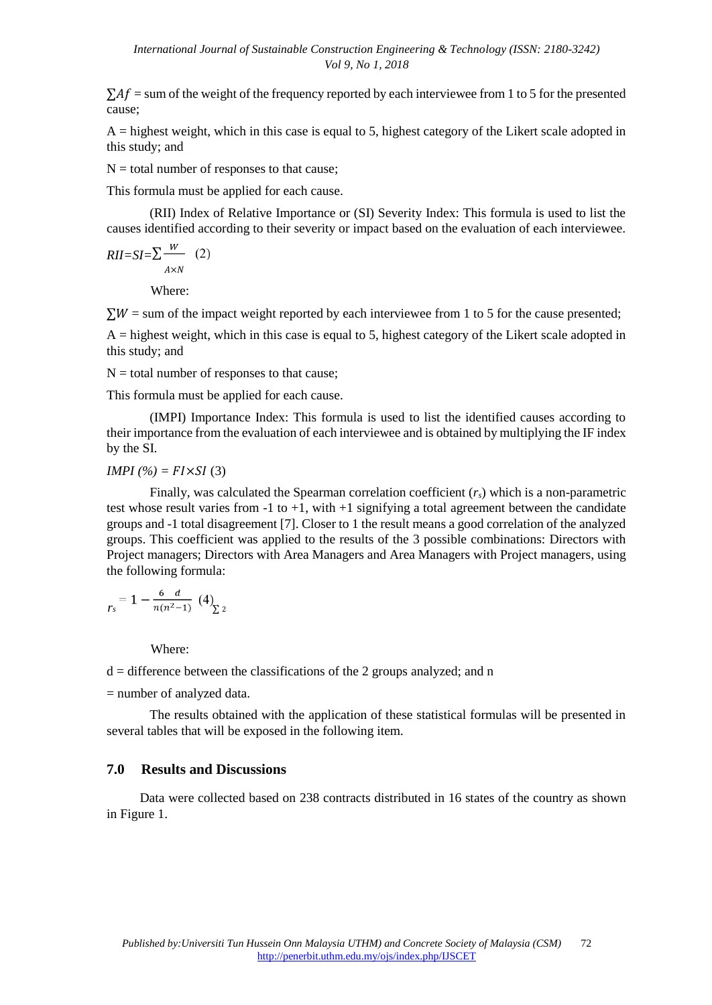$\Sigma Af =$  sum of the weight of the frequency reported by each interviewee from 1 to 5 for the presented cause;

 $A =$  highest weight, which in this case is equal to 5, highest category of the Likert scale adopted in this study; and

 $N =$  total number of responses to that cause;

This formula must be applied for each cause.

(RII) Index of Relative Importance or (SI) Severity Index: This formula is used to list the causes identified according to their severity or impact based on the evaluation of each interviewee.

$$
RII = SI = \sum_{A \times N}^{W} (2)
$$

Where:

 $\Sigma W$  = sum of the impact weight reported by each interviewee from 1 to 5 for the cause presented;

 $A =$  highest weight, which in this case is equal to 5, highest category of the Likert scale adopted in this study; and

 $N =$  total number of responses to that cause;

This formula must be applied for each cause.

(IMPI) Importance Index: This formula is used to list the identified causes according to their importance from the evaluation of each interviewee and is obtained by multiplying the IF index by the SI.

#### *IMPI* (%) =  $F1 \times SI$  (3)

Finally, was calculated the Spearman correlation coefficient (*rs*) which is a non-parametric test whose result varies from  $-1$  to  $+1$ , with  $+1$  signifying a total agreement between the candidate groups and -1 total disagreement [7]. Closer to 1 the result means a good correlation of the analyzed groups. This coefficient was applied to the results of the 3 possible combinations: Directors with Project managers; Directors with Area Managers and Area Managers with Project managers, using the following formula:

$$
r_s = 1 - \frac{6}{n(n^2-1)} \left( 4 \right)_{\sum 2}
$$

Where:

 $d =$  difference between the classifications of the 2 groups analyzed; and n

= number of analyzed data.

The results obtained with the application of these statistical formulas will be presented in several tables that will be exposed in the following item.

### **7.0 Results and Discussions**

Data were collected based on 238 contracts distributed in 16 states of the country as shown in Figure 1.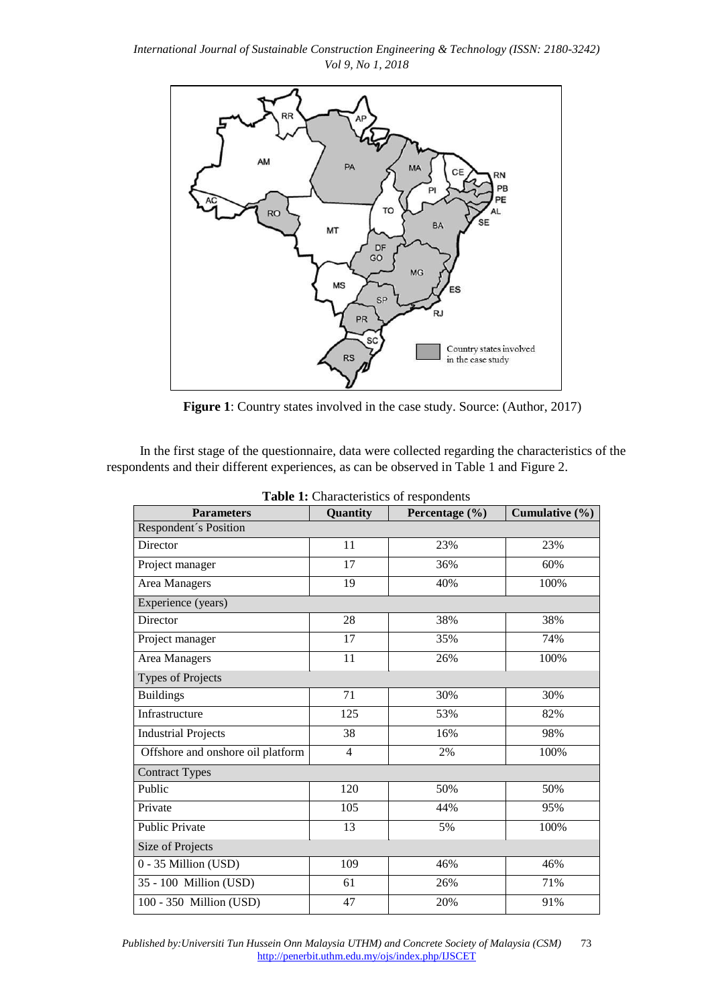

**Figure 1**: Country states involved in the case study. Source: (Author, 2017)

In the first stage of the questionnaire, data were collected regarding the characteristics of the respondents and their different experiences, as can be observed in Table 1 and Figure 2.

| <b>Parameters</b>                 | Quantity       | Percentage (%) | Cumulative $(\% )$ |  |  |
|-----------------------------------|----------------|----------------|--------------------|--|--|
| Respondent's Position             |                |                |                    |  |  |
| Director                          | 11             | 23%            | 23%                |  |  |
| Project manager                   | 17             | 36%            | 60%                |  |  |
| Area Managers                     | 19             | 40%            | 100%               |  |  |
| Experience (years)                |                |                |                    |  |  |
| Director                          | 28             | 38%            | 38%                |  |  |
| Project manager                   | 17             | 35%            | 74%                |  |  |
| <b>Area Managers</b>              | 11             | 26%            | 100%               |  |  |
| Types of Projects                 |                |                |                    |  |  |
| <b>Buildings</b>                  | 71             | 30%            | 30%                |  |  |
| Infrastructure                    | 125            | 53%            | 82%                |  |  |
| <b>Industrial Projects</b>        | 38             | 16%            | 98%                |  |  |
| Offshore and onshore oil platform | $\overline{4}$ | 2%             | 100%               |  |  |
| <b>Contract Types</b>             |                |                |                    |  |  |
| Public                            | 120            | 50%            | 50%                |  |  |
| Private                           | 105            | 44%            | 95%                |  |  |
| <b>Public Private</b>             | 13             | 5%             | 100%               |  |  |
| Size of Projects                  |                |                |                    |  |  |
| 0 - 35 Million (USD)              | 109            | 46%            | 46%                |  |  |
| 35 - 100 Million (USD)            | 61             | 26%            | 71%                |  |  |
| 100 - 350 Million (USD)           | 47             | 20%            | 91%                |  |  |

**Table 1:** Characteristics of respondents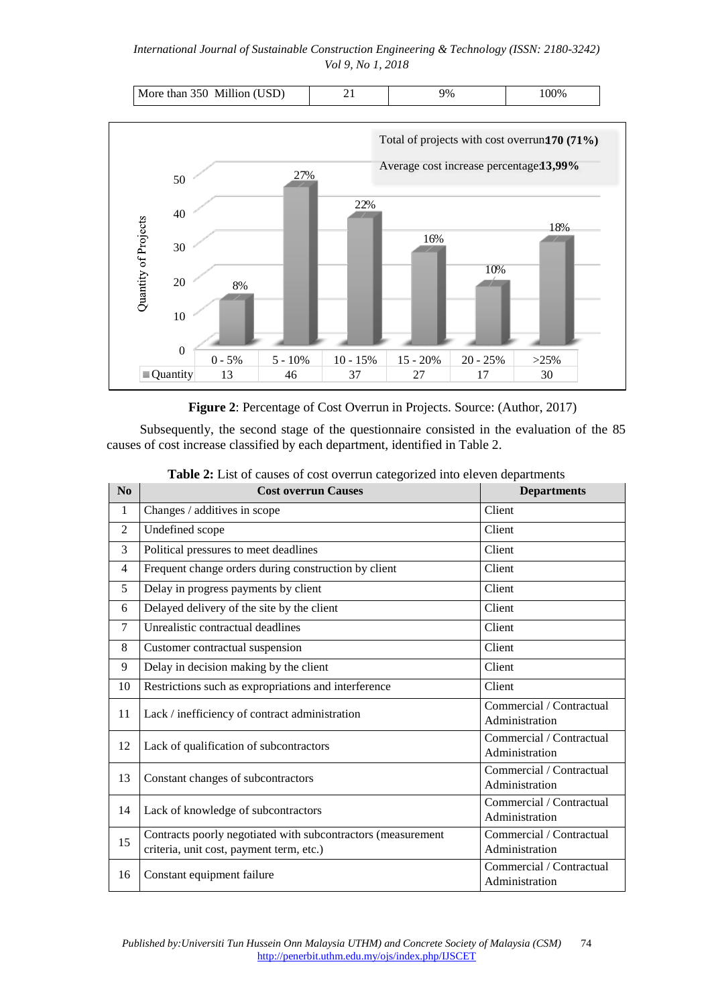| USD)<br>350<br>Million<br>More<br>than | 9% | .00% |
|----------------------------------------|----|------|
|                                        |    |      |



**Figure 2**: Percentage of Cost Overrun in Projects. Source: (Author, 2017)

Subsequently, the second stage of the questionnaire consisted in the evaluation of the 85 causes of cost increase classified by each department, identified in Table 2.

| $\bf No$     | <b>Cost overrun Causes</b>                                   | <b>Departments</b>                         |
|--------------|--------------------------------------------------------------|--------------------------------------------|
| $\mathbf{1}$ | Changes / additives in scope                                 | Client                                     |
| 2            | Undefined scope                                              | Client                                     |
| 3            | Political pressures to meet deadlines                        | Client                                     |
| 4            | Frequent change orders during construction by client         | Client                                     |
| 5            | Delay in progress payments by client                         | Client                                     |
| 6            | Delayed delivery of the site by the client                   | Client                                     |
| $\tau$       | Unrealistic contractual deadlines                            | Client                                     |
| 8            | Customer contractual suspension                              | Client                                     |
| 9            | Delay in decision making by the client                       | Client                                     |
| 10           | Restrictions such as expropriations and interference         | Client                                     |
| 11           | Lack / inefficiency of contract administration               | Commercial / Contractual<br>Administration |
| 12           | Lack of qualification of subcontractors                      | Commercial / Contractual<br>Administration |
| 13           | Constant changes of subcontractors                           | Commercial / Contractual<br>Administration |
| 14           | Lack of knowledge of subcontractors                          | Commercial / Contractual<br>Administration |
| 15           | Contracts poorly negotiated with subcontractors (measurement | Commercial / Contractual                   |
|              | criteria, unit cost, payment term, etc.)                     | Administration                             |
| 16           | Constant equipment failure                                   | Commercial / Contractual<br>Administration |

**Table 2:** List of causes of cost overrun categorized into eleven departments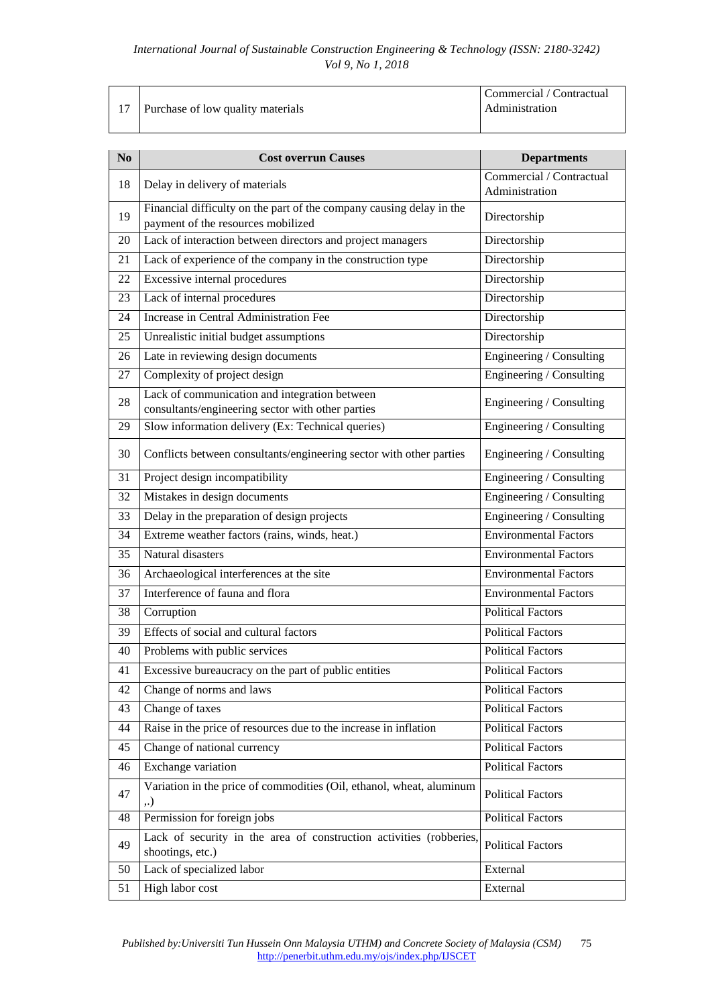|                                      | Commercial / Contractual |
|--------------------------------------|--------------------------|
| 17 Purchase of low quality materials | Administration           |

| N <sub>0</sub> | <b>Cost overrun Causes</b>                                                                                 | <b>Departments</b>                         |
|----------------|------------------------------------------------------------------------------------------------------------|--------------------------------------------|
| 18             | Delay in delivery of materials                                                                             | Commercial / Contractual<br>Administration |
| 19             | Financial difficulty on the part of the company causing delay in the<br>payment of the resources mobilized | Directorship                               |
| 20             | Lack of interaction between directors and project managers                                                 | Directorship                               |
| 21             | Lack of experience of the company in the construction type                                                 | Directorship                               |
| 22             | Excessive internal procedures                                                                              | Directorship                               |
| 23             | Lack of internal procedures                                                                                | Directorship                               |
| 24             | Increase in Central Administration Fee                                                                     | Directorship                               |
| 25             | Unrealistic initial budget assumptions                                                                     | Directorship                               |
| 26             | Late in reviewing design documents                                                                         | Engineering / Consulting                   |
| 27             | Complexity of project design                                                                               | Engineering / Consulting                   |
| 28             | Lack of communication and integration between<br>consultants/engineering sector with other parties         | Engineering / Consulting                   |
| 29             | Slow information delivery (Ex: Technical queries)                                                          | Engineering / Consulting                   |
| 30             | Conflicts between consultants/engineering sector with other parties                                        | Engineering / Consulting                   |
| 31             | Project design incompatibility                                                                             | Engineering / Consulting                   |
| 32             | Mistakes in design documents                                                                               | Engineering / Consulting                   |
| 33             | Delay in the preparation of design projects                                                                | Engineering / Consulting                   |
| 34             | Extreme weather factors (rains, winds, heat.)                                                              | <b>Environmental Factors</b>               |
| 35             | Natural disasters                                                                                          | <b>Environmental Factors</b>               |
| 36             | Archaeological interferences at the site                                                                   | <b>Environmental Factors</b>               |
| 37             | Interference of fauna and flora                                                                            | <b>Environmental Factors</b>               |
| 38             | Corruption                                                                                                 | <b>Political Factors</b>                   |
| 39             | Effects of social and cultural factors                                                                     | <b>Political Factors</b>                   |
| 40             | Problems with public services                                                                              | <b>Political Factors</b>                   |
| 41             | Excessive bureaucracy on the part of public entities                                                       | <b>Political Factors</b>                   |
| 42             | Change of norms and laws                                                                                   | <b>Political Factors</b>                   |
| 43             | Change of taxes                                                                                            | <b>Political Factors</b>                   |
| 44             | Raise in the price of resources due to the increase in inflation                                           | <b>Political Factors</b>                   |
| 45             | Change of national currency                                                                                | Political Factors                          |
| 46             | Exchange variation                                                                                         | <b>Political Factors</b>                   |
| 47             | Variation in the price of commodities (Oil, ethanol, wheat, aluminum<br>,.)                                | <b>Political Factors</b>                   |
| 48             | Permission for foreign jobs                                                                                | Political Factors                          |
| 49             | Lack of security in the area of construction activities (robberies,<br>shootings, etc.)                    | <b>Political Factors</b>                   |
| 50             | Lack of specialized labor                                                                                  | External                                   |
| 51             | High labor cost                                                                                            | External                                   |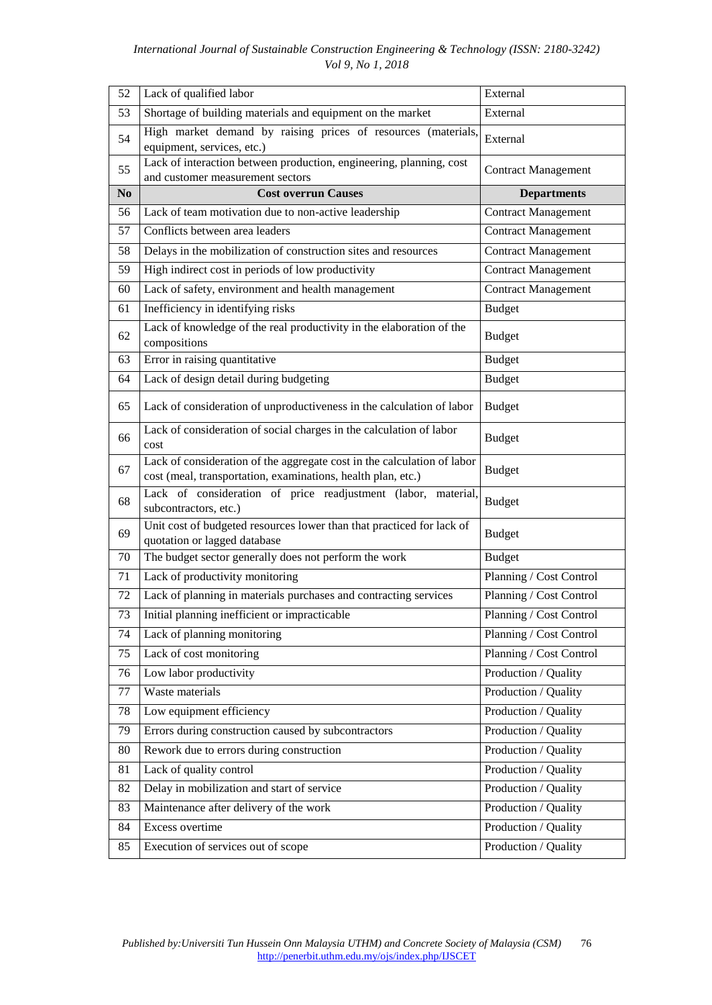| 52             | Lack of qualified labor                                                                                                                 | External                   |
|----------------|-----------------------------------------------------------------------------------------------------------------------------------------|----------------------------|
| 53             | Shortage of building materials and equipment on the market                                                                              | External                   |
| 54             | High market demand by raising prices of resources (materials,<br>equipment, services, etc.)                                             | External                   |
| 55             | Lack of interaction between production, engineering, planning, cost<br>and customer measurement sectors                                 | <b>Contract Management</b> |
| N <sub>0</sub> | <b>Cost overrun Causes</b>                                                                                                              | <b>Departments</b>         |
| 56             | Lack of team motivation due to non-active leadership                                                                                    | <b>Contract Management</b> |
| 57             | Conflicts between area leaders                                                                                                          | <b>Contract Management</b> |
| 58             | Delays in the mobilization of construction sites and resources                                                                          | <b>Contract Management</b> |
| 59             | High indirect cost in periods of low productivity                                                                                       | <b>Contract Management</b> |
| 60             | Lack of safety, environment and health management                                                                                       | <b>Contract Management</b> |
| 61             | Inefficiency in identifying risks                                                                                                       | <b>Budget</b>              |
| 62             | Lack of knowledge of the real productivity in the elaboration of the<br>compositions                                                    | <b>Budget</b>              |
| 63             | Error in raising quantitative                                                                                                           | <b>Budget</b>              |
| 64             | Lack of design detail during budgeting                                                                                                  | <b>Budget</b>              |
| 65             | Lack of consideration of unproductiveness in the calculation of labor                                                                   | <b>Budget</b>              |
| 66             | Lack of consideration of social charges in the calculation of labor<br>cost                                                             | <b>Budget</b>              |
| 67             | Lack of consideration of the aggregate cost in the calculation of labor<br>cost (meal, transportation, examinations, health plan, etc.) | <b>Budget</b>              |
| 68             | Lack of consideration of price readjustment (labor, material,<br>subcontractors, etc.)                                                  | <b>Budget</b>              |
| 69             | Unit cost of budgeted resources lower than that practiced for lack of<br>quotation or lagged database                                   | <b>Budget</b>              |
| 70             | The budget sector generally does not perform the work                                                                                   | <b>Budget</b>              |
| 71             | Lack of productivity monitoring                                                                                                         | Planning / Cost Control    |
| 72             | Lack of planning in materials purchases and contracting services                                                                        | Planning / Cost Control    |
| 73             | Initial planning inefficient or impracticable                                                                                           | Planning / Cost Control    |
| 74             | Lack of planning monitoring                                                                                                             | Planning / Cost Control    |
| 75             | Lack of cost monitoring                                                                                                                 | Planning / Cost Control    |
| 76             | Low labor productivity                                                                                                                  | Production / Quality       |
| 77             | Waste materials                                                                                                                         | Production / Quality       |
| 78             | Low equipment efficiency                                                                                                                | Production / Quality       |
| 79             | Errors during construction caused by subcontractors                                                                                     | Production / Quality       |
| 80             | Rework due to errors during construction                                                                                                | Production / Quality       |
| 81             | Lack of quality control                                                                                                                 | Production / Quality       |
| 82             | Delay in mobilization and start of service                                                                                              | Production / Quality       |
| 83             | Maintenance after delivery of the work                                                                                                  | Production / Quality       |
| 84             | Excess overtime                                                                                                                         | Production / Quality       |
| 85             | Execution of services out of scope                                                                                                      | Production / Quality       |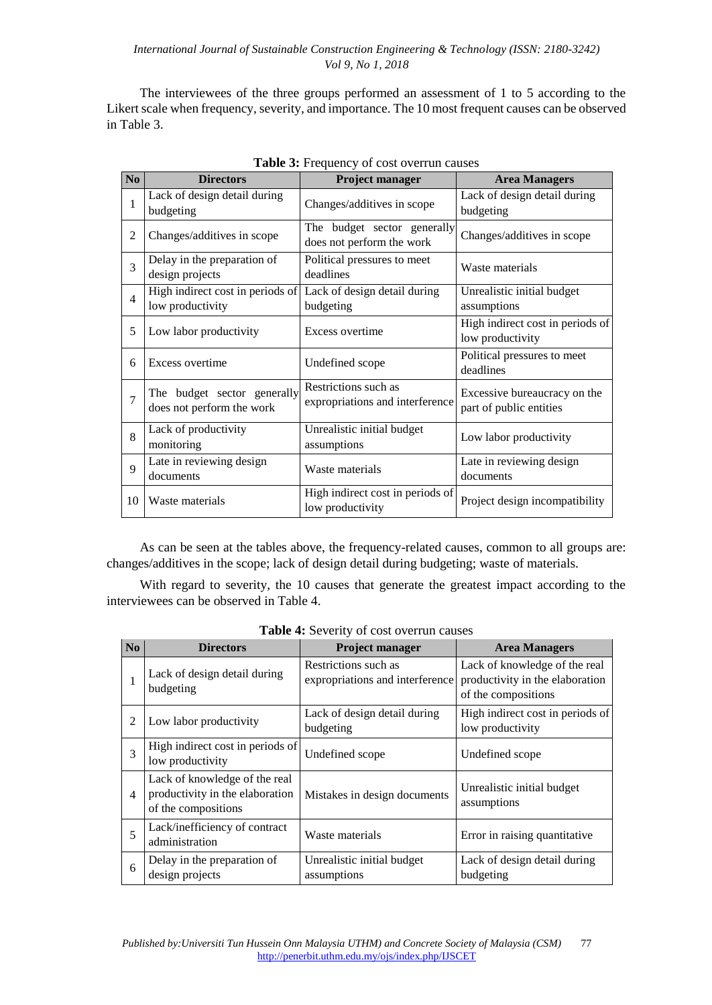The interviewees of the three groups performed an assessment of 1 to 5 according to the Likert scale when frequency, severity, and importance. The 10 most frequent causes can be observed in Table 3.

| $\bf No$       | <b>Directors</b>                                         | Project manager                                          | <b>Area Managers</b>                                    |
|----------------|----------------------------------------------------------|----------------------------------------------------------|---------------------------------------------------------|
| 1              | Lack of design detail during<br>budgeting                | Changes/additives in scope                               | Lack of design detail during<br>budgeting               |
| $\overline{2}$ | Changes/additives in scope                               | The budget sector generally<br>does not perform the work | Changes/additives in scope                              |
| 3              | Delay in the preparation of<br>design projects           | Political pressures to meet<br>deadlines                 | Waste materials                                         |
| $\overline{4}$ | High indirect cost in periods of<br>low productivity     | Lack of design detail during<br>budgeting                | Unrealistic initial budget<br>assumptions               |
| 5              | Low labor productivity                                   | Excess overtime                                          | High indirect cost in periods of<br>low productivity    |
| 6              | Excess overtime                                          | Undefined scope                                          | Political pressures to meet<br>deadlines                |
| 7              | The budget sector generally<br>does not perform the work | Restrictions such as<br>expropriations and interference  | Excessive bureaucracy on the<br>part of public entities |
| 8              | Lack of productivity<br>monitoring                       | Unrealistic initial budget<br>assumptions                | Low labor productivity                                  |
| 9              | Late in reviewing design<br>documents                    | Waste materials                                          | Late in reviewing design<br>documents                   |
| 10             | Waste materials                                          | High indirect cost in periods of<br>low productivity     | Project design incompatibility                          |

As can be seen at the tables above, the frequency-related causes, common to all groups are: changes/additives in the scope; lack of design detail during budgeting; waste of materials.

With regard to severity, the 10 causes that generate the greatest impact according to the interviewees can be observed in Table 4.

|                | <b>THERE</b> To DURETLY OF COST OVERTIGHT CHASCS                                        |                                                         |                                                                                         |  |
|----------------|-----------------------------------------------------------------------------------------|---------------------------------------------------------|-----------------------------------------------------------------------------------------|--|
| N <sub>o</sub> | <b>Directors</b>                                                                        | Project manager                                         | <b>Area Managers</b>                                                                    |  |
| 1              | Lack of design detail during<br>budgeting                                               | Restrictions such as<br>expropriations and interference | Lack of knowledge of the real<br>productivity in the elaboration<br>of the compositions |  |
| 2              | Low labor productivity                                                                  | Lack of design detail during<br>budgeting               | High indirect cost in periods of<br>low productivity                                    |  |
| 3              | High indirect cost in periods of<br>low productivity                                    | Undefined scope                                         | Undefined scope                                                                         |  |
| $\overline{4}$ | Lack of knowledge of the real<br>productivity in the elaboration<br>of the compositions | Mistakes in design documents                            | Unrealistic initial budget<br>assumptions                                               |  |
| 5              | Lack/inefficiency of contract<br>administration                                         | Waste materials                                         | Error in raising quantitative                                                           |  |
| 6              | Delay in the preparation of<br>design projects                                          | Unrealistic initial budget<br>assumptions               | Lack of design detail during<br>budgeting                                               |  |

**Table 4:** Severity of cost overrun causes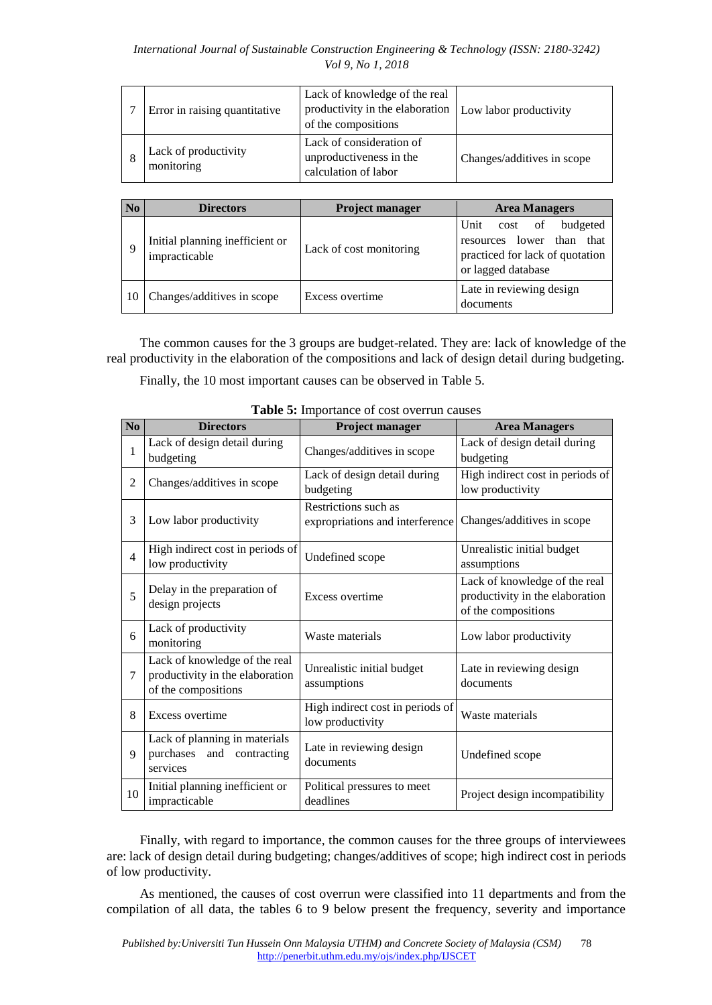| Error in raising quantitative      | Lack of knowledge of the real<br>productivity in the elaboration Low labor productivity<br>of the compositions |                            |
|------------------------------------|----------------------------------------------------------------------------------------------------------------|----------------------------|
| Lack of productivity<br>monitoring | Lack of consideration of<br>unproductiveness in the<br>calculation of labor                                    | Changes/additives in scope |

| N <sub>0</sub> | <b>Directors</b>                                 | <b>Project manager</b>  | <b>Area Managers</b>                                                                                                 |
|----------------|--------------------------------------------------|-------------------------|----------------------------------------------------------------------------------------------------------------------|
| 9              | Initial planning inefficient or<br>impracticable | Lack of cost monitoring | Unit cost of<br>budgeted<br>lower than<br>that<br>resources<br>practiced for lack of quotation<br>or lagged database |
| 10             | Changes/additives in scope                       | Excess overtime         | Late in reviewing design<br>documents                                                                                |

The common causes for the 3 groups are budget-related. They are: lack of knowledge of the real productivity in the elaboration of the compositions and lack of design detail during budgeting.

Finally, the 10 most important causes can be observed in Table 5.

|                | <b>rapic S.</b> Importance or cost overran eauses                                       |                                                         |                                                                                         |  |
|----------------|-----------------------------------------------------------------------------------------|---------------------------------------------------------|-----------------------------------------------------------------------------------------|--|
| No             | <b>Directors</b>                                                                        | Project manager                                         | <b>Area Managers</b>                                                                    |  |
| $\mathbf 1$    | Lack of design detail during<br>budgeting                                               | Changes/additives in scope                              | Lack of design detail during<br>budgeting                                               |  |
| $\overline{2}$ | Changes/additives in scope                                                              | Lack of design detail during<br>budgeting               | High indirect cost in periods of<br>low productivity                                    |  |
| 3              | Low labor productivity                                                                  | Restrictions such as<br>expropriations and interference | Changes/additives in scope                                                              |  |
| $\overline{4}$ | High indirect cost in periods of<br>low productivity                                    | Undefined scope                                         | Unrealistic initial budget<br>assumptions                                               |  |
| 5              | Delay in the preparation of<br>design projects                                          | Excess overtime                                         | Lack of knowledge of the real<br>productivity in the elaboration<br>of the compositions |  |
| 6              | Lack of productivity<br>monitoring                                                      | Waste materials                                         | Low labor productivity                                                                  |  |
| 7              | Lack of knowledge of the real<br>productivity in the elaboration<br>of the compositions | Unrealistic initial budget<br>assumptions               | Late in reviewing design<br>documents                                                   |  |
| 8              | Excess overtime                                                                         | High indirect cost in periods of<br>low productivity    | Waste materials                                                                         |  |
| 9              | Lack of planning in materials<br>purchases and contracting<br>services                  | Late in reviewing design<br>documents                   | Undefined scope                                                                         |  |
| 10             | Initial planning inefficient or<br>impracticable                                        | Political pressures to meet<br>deadlines                | Project design incompatibility                                                          |  |

**Table 5:** Importance of cost overrun causes

Finally, with regard to importance, the common causes for the three groups of interviewees are: lack of design detail during budgeting; changes/additives of scope; high indirect cost in periods of low productivity.

As mentioned, the causes of cost overrun were classified into 11 departments and from the compilation of all data, the tables 6 to 9 below present the frequency, severity and importance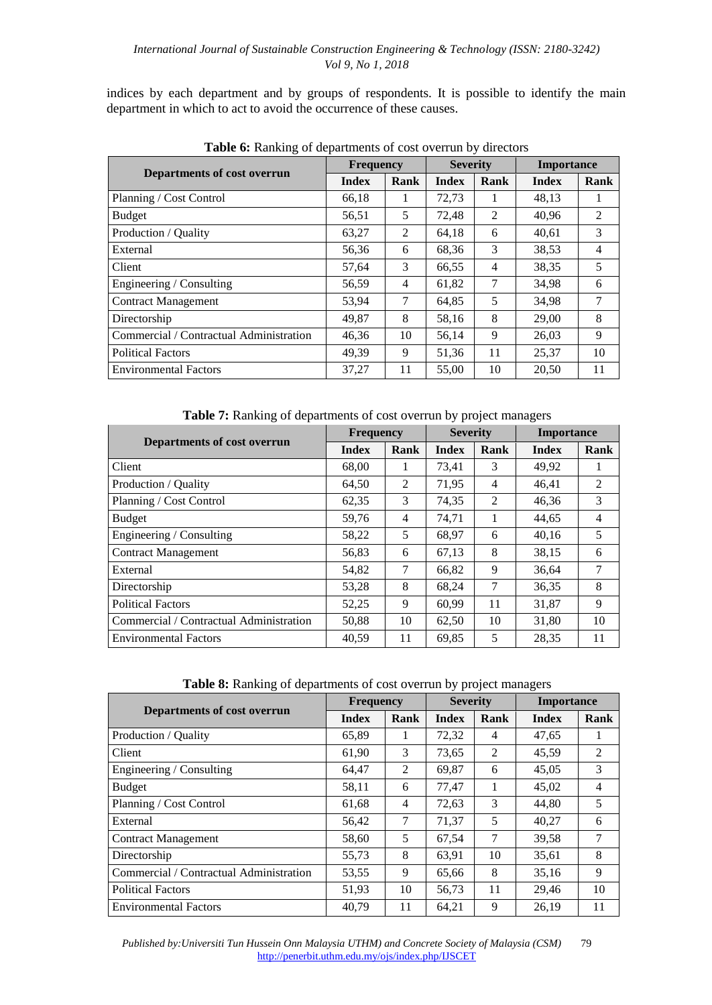indices by each department and by groups of respondents. It is possible to identify the main department in which to act to avoid the occurrence of these causes.

|                                         | <b>Frequency</b> |                | <b>Severity</b> |                | <b>Importance</b> |                |
|-----------------------------------------|------------------|----------------|-----------------|----------------|-------------------|----------------|
| Departments of cost overrun             | <b>Index</b>     | Rank           | <b>Index</b>    | Rank           | <b>Index</b>      | Rank           |
| Planning / Cost Control                 | 66,18            | 1              | 72,73           | 1              | 48,13             | 1              |
| Budget                                  | 56,51            | 5              | 72,48           | $\overline{2}$ | 40,96             | 2              |
| Production / Quality                    | 63,27            | 2              | 64,18           | 6              | 40,61             | 3              |
| External                                | 56,36            | 6              | 68,36           | 3              | 38.53             | $\overline{4}$ |
| Client                                  | 57,64            | 3              | 66,55           | $\overline{4}$ | 38,35             | 5              |
| Engineering / Consulting                | 56,59            | $\overline{4}$ | 61,82           | 7              | 34,98             | 6              |
| <b>Contract Management</b>              | 53.94            | 7              | 64,85           | 5              | 34,98             | 7              |
| Directorship                            | 49.87            | 8              | 58,16           | 8              | 29,00             | 8              |
| Commercial / Contractual Administration | 46,36            | 10             | 56,14           | 9              | 26,03             | 9              |
| <b>Political Factors</b>                | 49,39            | 9              | 51,36           | 11             | 25,37             | 10             |
| <b>Environmental Factors</b>            | 37,27            | 11             | 55,00           | 10             | 20,50             | 11             |

**Table 6:** Ranking of departments of cost overrun by directors

**Table 7:** Ranking of departments of cost overrun by project managers

|                                         | <b>Frequency</b> |                | <b>Severity</b> |      | <b>Importance</b> |                |
|-----------------------------------------|------------------|----------------|-----------------|------|-------------------|----------------|
| Departments of cost overrun             | <b>Index</b>     | Rank           | <b>Index</b>    | Rank | Index             | Rank           |
| Client                                  | 68,00            | $\mathbf{I}$   | 73,41           | 3    | 49,92             | 1              |
| Production / Quality                    | 64,50            | $\overline{2}$ | 71,95           | 4    | 46,41             | 2              |
| Planning / Cost Control                 | 62,35            | 3              | 74,35           | 2    | 46,36             | 3              |
| <b>Budget</b>                           | 59,76            | 4              | 74,71           |      | 44,65             | $\overline{4}$ |
| Engineering / Consulting                | 58,22            | 5              | 68.97           | 6    | 40,16             | 5              |
| <b>Contract Management</b>              | 56,83            | 6              | 67,13           | 8    | 38,15             | 6              |
| External                                | 54,82            | 7              | 66,82           | 9    | 36,64             | 7              |
| Directorship                            | 53,28            | 8              | 68,24           | 7    | 36,35             | 8              |
| <b>Political Factors</b>                | 52,25            | 9              | 60.99           | 11   | 31,87             | 9              |
| Commercial / Contractual Administration | 50,88            | 10             | 62,50           | 10   | 31,80             | 10             |
| <b>Environmental Factors</b>            | 40.59            | 11             | 69,85           | 5    | 28,35             | 11             |

**Table 8:** Ranking of departments of cost overrun by project managers

|                                         | <b>Frequency</b> |      | <b>Severity</b> |      | <b>Importance</b> |      |
|-----------------------------------------|------------------|------|-----------------|------|-------------------|------|
| Departments of cost overrun             | <b>Index</b>     | Rank | <b>Index</b>    | Rank | Index             | Rank |
| Production / Quality                    | 65,89            | 1    | 72,32           | 4    | 47,65             |      |
| Client                                  | 61,90            | 3    | 73,65           | 2    | 45,59             | 2    |
| Engineering / Consulting                | 64,47            | 2    | 69,87           | 6    | 45,05             | 3    |
| <b>Budget</b>                           | 58,11            | 6    | 77,47           | 1    | 45,02             | 4    |
| Planning / Cost Control                 | 61,68            | 4    | 72,63           | 3    | 44,80             | 5    |
| External                                | 56,42            | 7    | 71,37           | 5    | 40,27             | 6    |
| <b>Contract Management</b>              | 58,60            | 5    | 67,54           | 7    | 39,58             | 7    |
| Directorship                            | 55,73            | 8    | 63,91           | 10   | 35,61             | 8    |
| Commercial / Contractual Administration | 53,55            | 9    | 65,66           | 8    | 35,16             | 9    |
| <b>Political Factors</b>                | 51,93            | 10   | 56,73           | 11   | 29,46             | 10   |
| <b>Environmental Factors</b>            | 40.79            | 11   | 64,21           | 9    | 26,19             | 11   |

 *Published by:Universiti Tun Hussein Onn Malaysia UTHM) and Concrete Society of Malaysia (CSM)* 79 http://penerbit.uthm.edu.my/ojs/index.php/IJSCET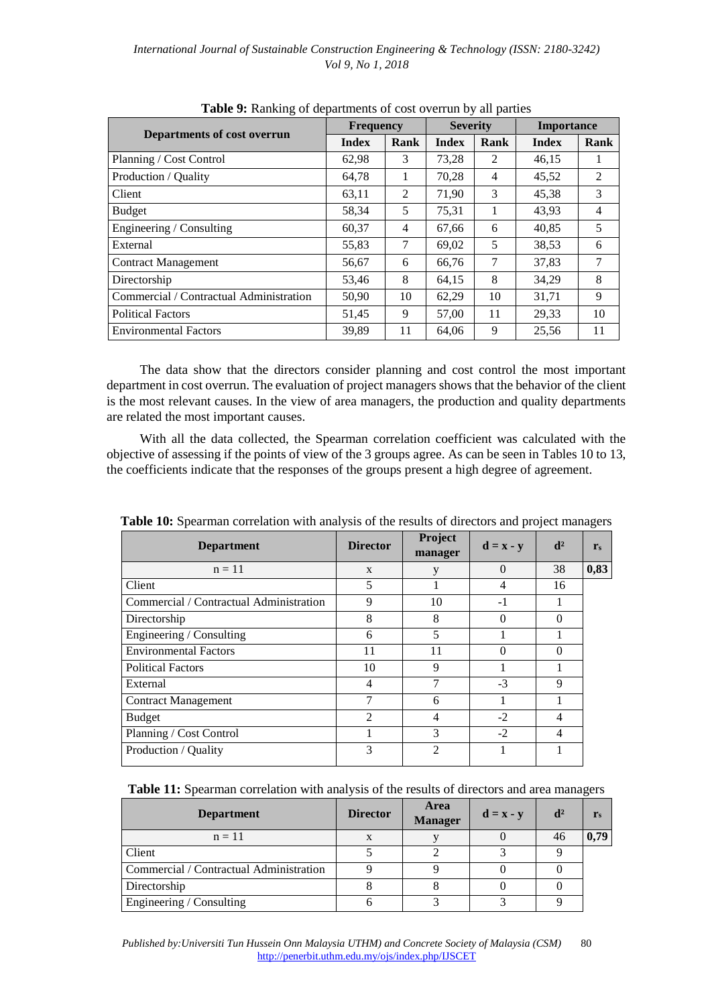|                                         | <b>Frequency</b> |      | <b>Severity</b> |      | <b>Importance</b> |      |
|-----------------------------------------|------------------|------|-----------------|------|-------------------|------|
| Departments of cost overrun             | <b>Index</b>     | Rank | <b>Index</b>    | Rank | <b>Index</b>      | Rank |
| Planning / Cost Control                 | 62,98            | 3    | 73,28           | 2    | 46,15             |      |
| Production / Quality                    | 64,78            | 1    | 70,28           | 4    | 45,52             | 2    |
| Client                                  | 63,11            | 2    | 71,90           | 3    | 45,38             | 3    |
| <b>Budget</b>                           | 58,34            | 5    | 75,31           | 1    | 43,93             | 4    |
| Engineering / Consulting                | 60,37            | 4    | 67,66           | 6    | 40,85             | 5    |
| External                                | 55,83            | 7    | 69,02           | 5    | 38,53             | 6    |
| <b>Contract Management</b>              | 56,67            | 6    | 66,76           | 7    | 37,83             | 7    |
| Directorship                            | 53,46            | 8    | 64,15           | 8    | 34.29             | 8    |
| Commercial / Contractual Administration | 50,90            | 10   | 62,29           | 10   | 31,71             | 9    |
| <b>Political Factors</b>                | 51,45            | 9    | 57,00           | 11   | 29,33             | 10   |
| <b>Environmental Factors</b>            | 39,89            | 11   | 64,06           | 9    | 25,56             | 11   |

**Table 9:** Ranking of departments of cost overrun by all parties

The data show that the directors consider planning and cost control the most important department in cost overrun. The evaluation of project managers shows that the behavior of the client is the most relevant causes. In the view of area managers, the production and quality departments are related the most important causes.

With all the data collected, the Spearman correlation coefficient was calculated with the objective of assessing if the points of view of the 3 groups agree. As can be seen in Tables 10 to 13, the coefficients indicate that the responses of the groups present a high degree of agreement.

|                                         |                 |                    |                                        |                | ం              |
|-----------------------------------------|-----------------|--------------------|----------------------------------------|----------------|----------------|
| <b>Department</b>                       | <b>Director</b> | Project<br>manager | $\mathbf{d} = \mathbf{x} - \mathbf{y}$ | $\mathbf{d}^2$ | $\mathbf{r}_s$ |
| $n = 11$                                | $\mathbf{x}$    | y                  | 0                                      | 38             | 0,83           |
| Client                                  | 5               |                    | 4                                      | 16             |                |
| Commercial / Contractual Administration | 9               | 10                 | $-1$                                   |                |                |
| Directorship                            | 8               | 8                  | 0                                      | $\Omega$       |                |
| Engineering / Consulting                | 6               | 5                  |                                        |                |                |
| <b>Environmental Factors</b>            | 11              | 11                 | 0                                      | $\Omega$       |                |
| <b>Political Factors</b>                | 10              | 9                  |                                        |                |                |
| External                                | 4               |                    | $-3$                                   | 9              |                |
| <b>Contract Management</b>              | 7               | 6                  |                                        |                |                |
| <b>Budget</b>                           | 2               | 4                  | $-2$                                   | 4              |                |
| Planning / Cost Control                 |                 | 3                  | $-2$                                   | 4              |                |
| Production / Quality                    | 3               | $\mathfrak{D}$     |                                        |                |                |

**Table 10:** Spearman correlation with analysis of the results of directors and project managers

**Table 11:** Spearman correlation with analysis of the results of directors and area managers

| <b>Department</b>                       | <b>Director</b> | Area<br><b>Manager</b> | $\mathbf{d} = \mathbf{x} - \mathbf{y}$ | $\mathbf{d}^2$ | $\mathbf{r}_s$ |
|-----------------------------------------|-----------------|------------------------|----------------------------------------|----------------|----------------|
| $n = 11$                                |                 |                        |                                        | 46             | 0,79           |
| Client                                  |                 |                        |                                        |                |                |
| Commercial / Contractual Administration |                 |                        |                                        |                |                |
| Directorship                            |                 |                        |                                        |                |                |
| Engineering / Consulting                |                 |                        |                                        |                |                |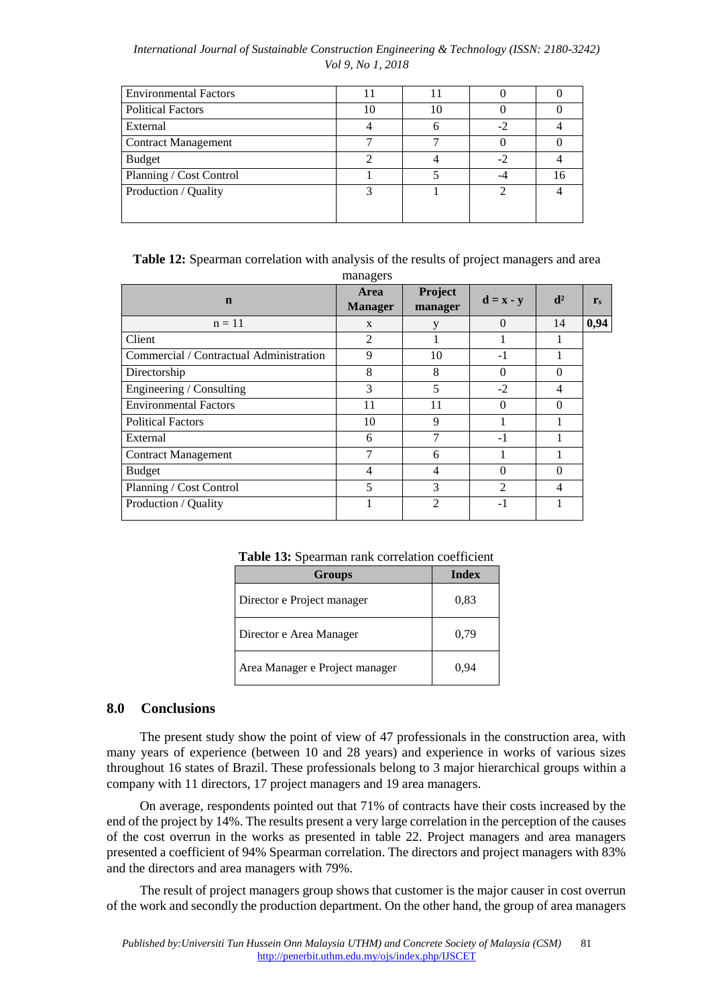| <b>Environmental Factors</b> |    |    |  |
|------------------------------|----|----|--|
| <b>Political Factors</b>     | 10 |    |  |
| External                     |    |    |  |
| <b>Contract Management</b>   |    |    |  |
| <b>Budget</b>                |    | -2 |  |
| Planning / Cost Control      |    |    |  |
| Production / Quality         |    |    |  |
|                              |    |    |  |

**Table 12:** Spearman correlation with analysis of the results of project managers and area

|                                         | managers                      |                    |                                        |                |                |
|-----------------------------------------|-------------------------------|--------------------|----------------------------------------|----------------|----------------|
| $\mathbf n$                             | <b>Area</b><br><b>Manager</b> | Project<br>manager | $\mathbf{d} = \mathbf{x} - \mathbf{y}$ | d <sup>2</sup> | $\mathbf{r}_s$ |
| $n = 11$                                | X                             | y                  | $\Omega$                               | 14             | 0,94           |
| Client                                  | $\overline{2}$                |                    |                                        |                |                |
| Commercial / Contractual Administration | 9                             | 10                 | $-1$                                   |                |                |
| Directorship                            | 8                             | 8                  | $\Omega$                               | $\Omega$       |                |
| Engineering / Consulting                | 3                             | 5                  | $-2$                                   | 4              |                |
| <b>Environmental Factors</b>            | 11                            | 11                 | $\Omega$                               | $\Omega$       |                |
| <b>Political Factors</b>                | 10                            | 9                  |                                        |                |                |
| External                                | 6                             | 7                  | $-1$                                   |                |                |
| <b>Contract Management</b>              |                               | 6                  |                                        |                |                |
| <b>Budget</b>                           | 4                             | 4                  | $\Omega$                               | $\Omega$       |                |
| Planning / Cost Control                 | 5                             | 3                  | 2                                      | 4              |                |
| Production / Quality                    |                               | $\overline{2}$     | $-1$                                   |                |                |

**Table 13:** Spearman rank correlation coefficient

| <b>Groups</b>                  | Index |
|--------------------------------|-------|
| Director e Project manager     | 0.83  |
| Director e Area Manager        | 0.79  |
| Area Manager e Project manager | 0.94  |

# **8.0 Conclusions**

The present study show the point of view of 47 professionals in the construction area, with many years of experience (between 10 and 28 years) and experience in works of various sizes throughout 16 states of Brazil. These professionals belong to 3 major hierarchical groups within a company with 11 directors, 17 project managers and 19 area managers.

On average, respondents pointed out that 71% of contracts have their costs increased by the end of the project by 14%. The results present a very large correlation in the perception of the causes of the cost overrun in the works as presented in table 22. Project managers and area managers presented a coefficient of 94% Spearman correlation. The directors and project managers with 83% and the directors and area managers with 79%.

The result of project managers group shows that customer is the major causer in cost overrun of the work and secondly the production department. On the other hand, the group of area managers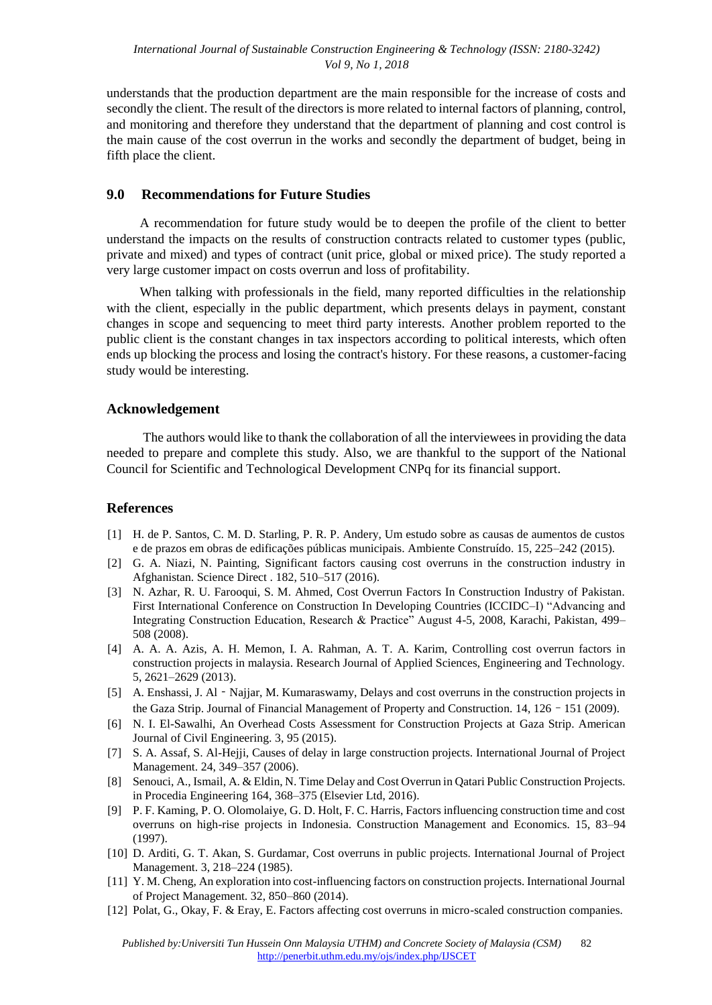understands that the production department are the main responsible for the increase of costs and secondly the client. The result of the directors is more related to internal factors of planning, control, and monitoring and therefore they understand that the department of planning and cost control is the main cause of the cost overrun in the works and secondly the department of budget, being in fifth place the client.

### **9.0 Recommendations for Future Studies**

A recommendation for future study would be to deepen the profile of the client to better understand the impacts on the results of construction contracts related to customer types (public, private and mixed) and types of contract (unit price, global or mixed price). The study reported a very large customer impact on costs overrun and loss of profitability.

When talking with professionals in the field, many reported difficulties in the relationship with the client, especially in the public department, which presents delays in payment, constant changes in scope and sequencing to meet third party interests. Another problem reported to the public client is the constant changes in tax inspectors according to political interests, which often ends up blocking the process and losing the contract's history. For these reasons, a customer-facing study would be interesting.

### **Acknowledgement**

The authors would like to thank the collaboration of all the interviewees in providing the data needed to prepare and complete this study. Also, we are thankful to the support of the [National](https://en.wikipedia.org/wiki/National_Council_for_Scientific_and_Technological_Development)  [Council for Scientific and Technological Development](https://en.wikipedia.org/wiki/National_Council_for_Scientific_and_Technological_Development) [C](https://en.wikipedia.org/wiki/National_Council_for_Scientific_and_Technological_Development)NPq for its financial support.

## **References**

- [1] H. de P. Santos, C. M. D. Starling, P. R. P. Andery, Um estudo sobre as causas de aumentos de custos e de prazos em obras de edificações públicas municipais. Ambiente Construído. 15, 225–242 (2015).
- [2] G. A. Niazi, N. Painting, Significant factors causing cost overruns in the construction industry in Afghanistan. Science Direct . 182, 510–517 (2016).
- [3] N. Azhar, R. U. Farooqui, S. M. Ahmed, Cost Overrun Factors In Construction Industry of Pakistan. First International Conference on Construction In Developing Countries (ICCIDC–I) "Advancing and Integrating Construction Education, Research & Practice" August 4-5, 2008, Karachi, Pakistan, 499– 508 (2008).
- [4] A. A. A. Azis, A. H. Memon, I. A. Rahman, A. T. A. Karim, Controlling cost overrun factors in construction projects in malaysia. Research Journal of Applied Sciences, Engineering and Technology. 5, 2621–2629 (2013).
- [5] A. Enshassi, J. Al Najjar, M. Kumaraswamy, Delays and cost overruns in the construction projects in the Gaza Strip. Journal of Financial Management of Property and Construction. 14, 126–151 (2009).
- [6] N. I. El-Sawalhi, An Overhead Costs Assessment for Construction Projects at Gaza Strip. American Journal of Civil Engineering. 3, 95 (2015).
- [7] S. A. Assaf, S. Al-Hejji, Causes of delay in large construction projects. International Journal of Project Management. 24, 349–357 (2006).
- [8] Senouci, A., Ismail, A. & Eldin, N. Time Delay and Cost Overrun in Qatari Public Construction Projects. in Procedia Engineering 164, 368–375 (Elsevier Ltd, 2016).
- [9] P. F. Kaming, P. O. Olomolaiye, G. D. Holt, F. C. Harris, Factors influencing construction time and cost overruns on high-rise projects in Indonesia. Construction Management and Economics. 15, 83–94 (1997).
- [10] D. Arditi, G. T. Akan, S. Gurdamar, Cost overruns in public projects. International Journal of Project Management. 3, 218–224 (1985).
- [11] Y. M. Cheng, An exploration into cost-influencing factors on construction projects. International Journal of Project Management. 32, 850–860 (2014).
- [12] Polat, G., Okay, F. & Eray, E. Factors affecting cost overruns in micro-scaled construction companies.